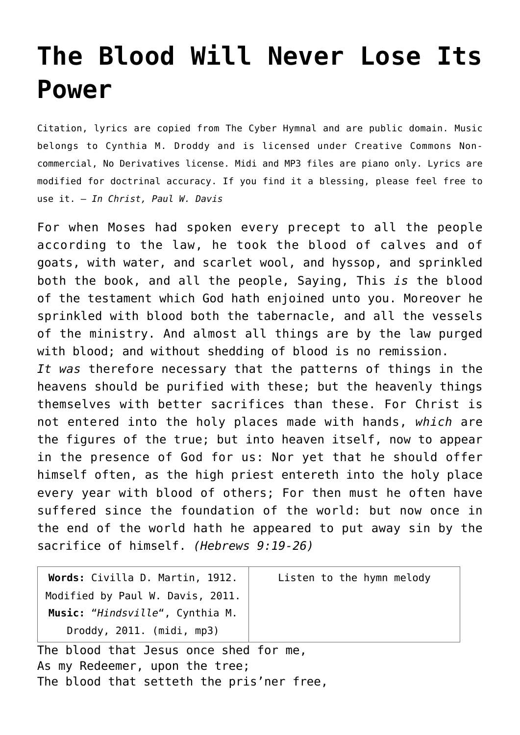## **[The Blood Will Never Lose Its](http://reproachofmen.org/hymns-and-music/the-blood-will-never-lose-its-power/) [Power](http://reproachofmen.org/hymns-and-music/the-blood-will-never-lose-its-power/)**

Citation, lyrics are copied from [The Cyber Hymnal](http://www.hymntime.com/tch/index.htm) and are public domain. Music belongs to Cynthia M. Droddy and is licensed under Creative Commons Noncommercial, No Derivatives license. Midi and MP3 files are piano only. Lyrics are modified for doctrinal accuracy. If you find it a blessing, please feel free to use it. — *In Christ, Paul W. Davis*

For when Moses had spoken every precept to all the people according to the law, he took the blood of calves and of goats, with water, and scarlet wool, and hyssop, and sprinkled both the book, and all the people, Saying, This *is* the blood of the testament which God hath enjoined unto you. Moreover he sprinkled with blood both the tabernacle, and all the vessels of the ministry. And almost all things are by the law purged with blood; and without shedding of blood is no remission. *It was* therefore necessary that the patterns of things in the heavens should be purified with these; but the heavenly things themselves with better sacrifices than these. For Christ is not entered into the holy places made with hands, *which* are the figures of the true; but into heaven itself, now to appear in the presence of God for us: Nor yet that he should offer himself often, as the high priest entereth into the holy place every year with blood of others; For then must he often have suffered since the foundation of the world: but now once in the end of the world hath he appeared to put away sin by the sacrifice of himself. *(Hebrews 9:19-26)*

| Words: Civilla D. Martin, 1912.  | Listen to the hymn melody |
|----------------------------------|---------------------------|
| Modified by Paul W. Davis, 2011. |                           |
| Music: "Hindsville", Cynthia M.  |                           |
| Droddy, 2011. (midi, mp3)        |                           |
|                                  |                           |

The blood that Jesus once shed for me, As my Redeemer, upon the tree; The blood that setteth the pris'ner free,